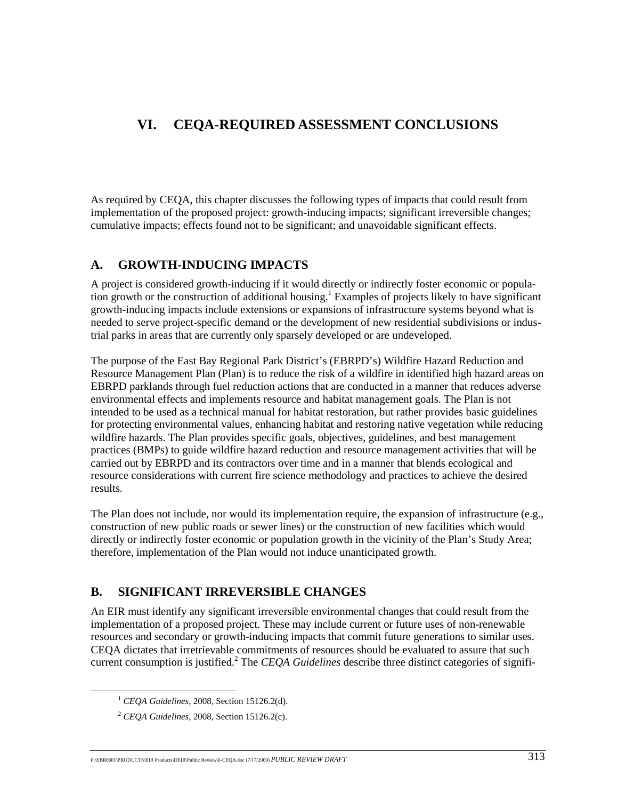# **VI. CEQA-REQUIRED ASSESSMENT CONCLUSIONS**

As required by CEQA, this chapter discusses the following types of impacts that could result from implementation of the proposed project: growth-inducing impacts; significant irreversible changes; cumulative impacts; effects found not to be significant; and unavoidable significant effects.

# **A. GROWTH-INDUCING IMPACTS**

A project is considered growth-inducing if it would directly or indirectly foster economic or population growth or the construction of additional housing.<sup>1</sup> Examples of projects likely to have significant growth-inducing impacts include extensions or expansions of infrastructure systems beyond what is needed to serve project-specific demand or the development of new residential subdivisions or industrial parks in areas that are currently only sparsely developed or are undeveloped.

The purpose of the East Bay Regional Park District's (EBRPD's) Wildfire Hazard Reduction and Resource Management Plan (Plan) is to reduce the risk of a wildfire in identified high hazard areas on EBRPD parklands through fuel reduction actions that are conducted in a manner that reduces adverse environmental effects and implements resource and habitat management goals. The Plan is not intended to be used as a technical manual for habitat restoration, but rather provides basic guidelines for protecting environmental values, enhancing habitat and restoring native vegetation while reducing wildfire hazards. The Plan provides specific goals, objectives, guidelines, and best management practices (BMPs) to guide wildfire hazard reduction and resource management activities that will be carried out by EBRPD and its contractors over time and in a manner that blends ecological and resource considerations with current fire science methodology and practices to achieve the desired results.

The Plan does not include, nor would its implementation require, the expansion of infrastructure (e.g., construction of new public roads or sewer lines) or the construction of new facilities which would directly or indirectly foster economic or population growth in the vicinity of the Plan's Study Area; therefore, implementation of the Plan would not induce unanticipated growth.

# **B. SIGNIFICANT IRREVERSIBLE CHANGES**

An EIR must identify any significant irreversible environmental changes that could result from the implementation of a proposed project. These may include current or future uses of non-renewable resources and secondary or growth-inducing impacts that commit future generations to similar uses. CEQA dictates that irretrievable commitments of resources should be evaluated to assure that such current consumption is justified.<sup>2</sup> The *CEQA Guidelines* describe three distinct categories of signifi-

 <sup>1</sup> *CEQA Guidelines*, 2008, Section 15126.2(d).

<sup>2</sup> *CEQA Guidelines*, 2008, Section 15126.2(c).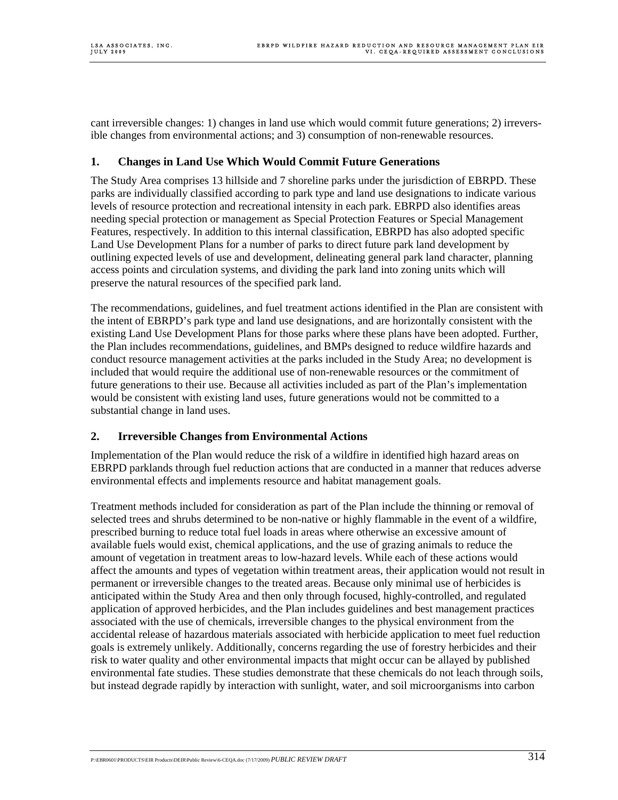cant irreversible changes: 1) changes in land use which would commit future generations; 2) irreversible changes from environmental actions; and 3) consumption of non-renewable resources.

### **1. Changes in Land Use Which Would Commit Future Generations**

The Study Area comprises 13 hillside and 7 shoreline parks under the jurisdiction of EBRPD. These parks are individually classified according to park type and land use designations to indicate various levels of resource protection and recreational intensity in each park. EBRPD also identifies areas needing special protection or management as Special Protection Features or Special Management Features, respectively. In addition to this internal classification, EBRPD has also adopted specific Land Use Development Plans for a number of parks to direct future park land development by outlining expected levels of use and development, delineating general park land character, planning access points and circulation systems, and dividing the park land into zoning units which will preserve the natural resources of the specified park land.

The recommendations, guidelines, and fuel treatment actions identified in the Plan are consistent with the intent of EBRPD's park type and land use designations, and are horizontally consistent with the existing Land Use Development Plans for those parks where these plans have been adopted. Further, the Plan includes recommendations, guidelines, and BMPs designed to reduce wildfire hazards and conduct resource management activities at the parks included in the Study Area; no development is included that would require the additional use of non-renewable resources or the commitment of future generations to their use. Because all activities included as part of the Plan's implementation would be consistent with existing land uses, future generations would not be committed to a substantial change in land uses.

### **2. Irreversible Changes from Environmental Actions**

Implementation of the Plan would reduce the risk of a wildfire in identified high hazard areas on EBRPD parklands through fuel reduction actions that are conducted in a manner that reduces adverse environmental effects and implements resource and habitat management goals.

Treatment methods included for consideration as part of the Plan include the thinning or removal of selected trees and shrubs determined to be non-native or highly flammable in the event of a wildfire, prescribed burning to reduce total fuel loads in areas where otherwise an excessive amount of available fuels would exist, chemical applications, and the use of grazing animals to reduce the amount of vegetation in treatment areas to low-hazard levels. While each of these actions would affect the amounts and types of vegetation within treatment areas, their application would not result in permanent or irreversible changes to the treated areas. Because only minimal use of herbicides is anticipated within the Study Area and then only through focused, highly-controlled, and regulated application of approved herbicides, and the Plan includes guidelines and best management practices associated with the use of chemicals, irreversible changes to the physical environment from the accidental release of hazardous materials associated with herbicide application to meet fuel reduction goals is extremely unlikely. Additionally, concerns regarding the use of forestry herbicides and their risk to water quality and other environmental impacts that might occur can be allayed by published environmental fate studies. These studies demonstrate that these chemicals do not leach through soils, but instead degrade rapidly by interaction with sunlight, water, and soil microorganisms into carbon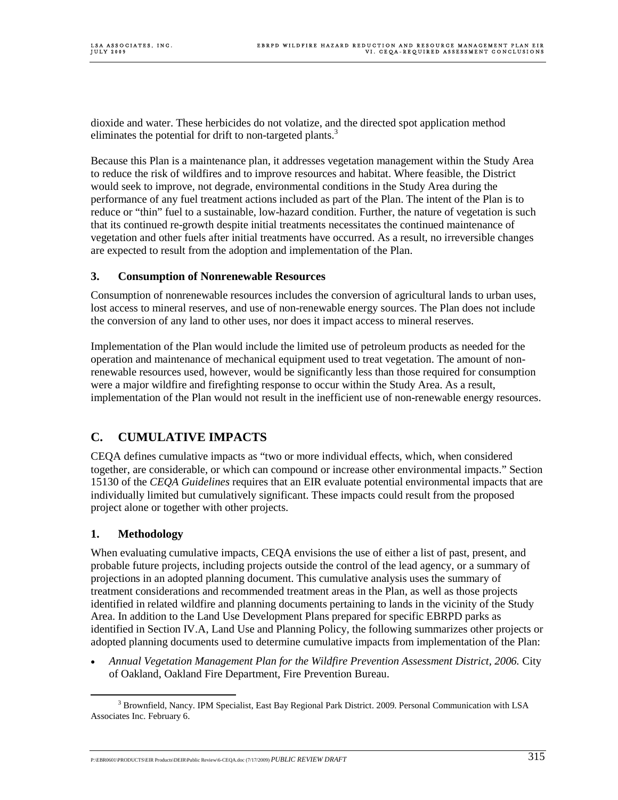dioxide and water. These herbicides do not volatize, and the directed spot application method eliminates the potential for drift to non-targeted plants.<sup>3</sup>

Because this Plan is a maintenance plan, it addresses vegetation management within the Study Area to reduce the risk of wildfires and to improve resources and habitat. Where feasible, the District would seek to improve, not degrade, environmental conditions in the Study Area during the performance of any fuel treatment actions included as part of the Plan. The intent of the Plan is to reduce or "thin" fuel to a sustainable, low-hazard condition. Further, the nature of vegetation is such that its continued re-growth despite initial treatments necessitates the continued maintenance of vegetation and other fuels after initial treatments have occurred. As a result, no irreversible changes are expected to result from the adoption and implementation of the Plan.

#### **3. Consumption of Nonrenewable Resources**

Consumption of nonrenewable resources includes the conversion of agricultural lands to urban uses, lost access to mineral reserves, and use of non-renewable energy sources. The Plan does not include the conversion of any land to other uses, nor does it impact access to mineral reserves.

Implementation of the Plan would include the limited use of petroleum products as needed for the operation and maintenance of mechanical equipment used to treat vegetation. The amount of nonrenewable resources used, however, would be significantly less than those required for consumption were a major wildfire and firefighting response to occur within the Study Area. As a result, implementation of the Plan would not result in the inefficient use of non-renewable energy resources.

# **C. CUMULATIVE IMPACTS**

CEQA defines cumulative impacts as "two or more individual effects, which, when considered together, are considerable, or which can compound or increase other environmental impacts." Section 15130 of the *CEQA Guidelines* requires that an EIR evaluate potential environmental impacts that are individually limited but cumulatively significant. These impacts could result from the proposed project alone or together with other projects.

### **1. Methodology**

When evaluating cumulative impacts, CEQA envisions the use of either a list of past, present, and probable future projects, including projects outside the control of the lead agency, or a summary of projections in an adopted planning document. This cumulative analysis uses the summary of treatment considerations and recommended treatment areas in the Plan, as well as those projects identified in related wildfire and planning documents pertaining to lands in the vicinity of the Study Area. In addition to the Land Use Development Plans prepared for specific EBRPD parks as identified in Section IV.A, Land Use and Planning Policy, the following summarizes other projects or adopted planning documents used to determine cumulative impacts from implementation of the Plan:

• *Annual Vegetation Management Plan for the Wildfire Prevention Assessment District, 2006.* City of Oakland, Oakland Fire Department, Fire Prevention Bureau.

 <sup>3</sup>  $3$  Brownfield, Nancy. IPM Specialist, East Bay Regional Park District. 2009. Personal Communication with LSA Associates Inc. February 6.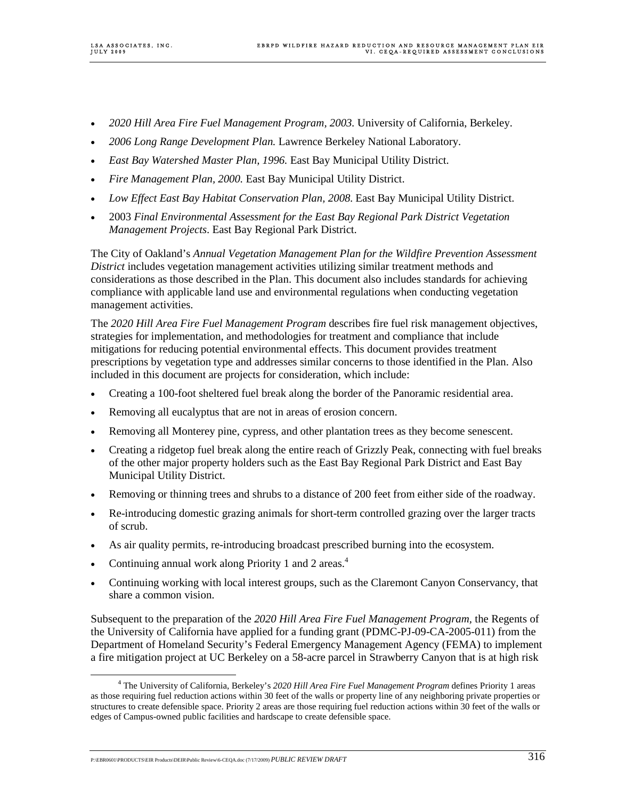- *2020 Hill Area Fire Fuel Management Program, 2003.* University of California, Berkeley.
- *2006 Long Range Development Plan.* Lawrence Berkeley National Laboratory.
- *East Bay Watershed Master Plan, 1996.* East Bay Municipal Utility District.
- *Fire Management Plan, 2000.* East Bay Municipal Utility District.
- *Low Effect East Bay Habitat Conservation Plan, 2008*. East Bay Municipal Utility District.
- 2003 *Final Environmental Assessment for the East Bay Regional Park District Vegetation Management Projects*. East Bay Regional Park District.

The City of Oakland's *Annual Vegetation Management Plan for the Wildfire Prevention Assessment District* includes vegetation management activities utilizing similar treatment methods and considerations as those described in the Plan. This document also includes standards for achieving compliance with applicable land use and environmental regulations when conducting vegetation management activities.

The *2020 Hill Area Fire Fuel Management Program* describes fire fuel risk management objectives, strategies for implementation, and methodologies for treatment and compliance that include mitigations for reducing potential environmental effects. This document provides treatment prescriptions by vegetation type and addresses similar concerns to those identified in the Plan. Also included in this document are projects for consideration, which include:

- Creating a 100-foot sheltered fuel break along the border of the Panoramic residential area.
- Removing all eucalyptus that are not in areas of erosion concern.
- Removing all Monterey pine, cypress, and other plantation trees as they become senescent.
- Creating a ridgetop fuel break along the entire reach of Grizzly Peak, connecting with fuel breaks of the other major property holders such as the East Bay Regional Park District and East Bay Municipal Utility District.
- Removing or thinning trees and shrubs to a distance of 200 feet from either side of the roadway.
- Re-introducing domestic grazing animals for short-term controlled grazing over the larger tracts of scrub.
- As air quality permits, re-introducing broadcast prescribed burning into the ecosystem.
- Continuing annual work along Priority 1 and 2 areas. $4$
- Continuing working with local interest groups, such as the Claremont Canyon Conservancy, that share a common vision.

Subsequent to the preparation of the *2020 Hill Area Fire Fuel Management Program,* the Regents of the University of California have applied for a funding grant (PDMC-PJ-09-CA-2005-011) from the Department of Homeland Security's Federal Emergency Management Agency (FEMA) to implement a fire mitigation project at UC Berkeley on a 58-acre parcel in Strawberry Canyon that is at high risk

 $\frac{1}{4}$  The University of California, Berkeley's *2020 Hill Area Fire Fuel Management Program* defines Priority 1 areas as those requiring fuel reduction actions within 30 feet of the walls or property line of any neighboring private properties or structures to create defensible space. Priority 2 areas are those requiring fuel reduction actions within 30 feet of the walls or edges of Campus-owned public facilities and hardscape to create defensible space.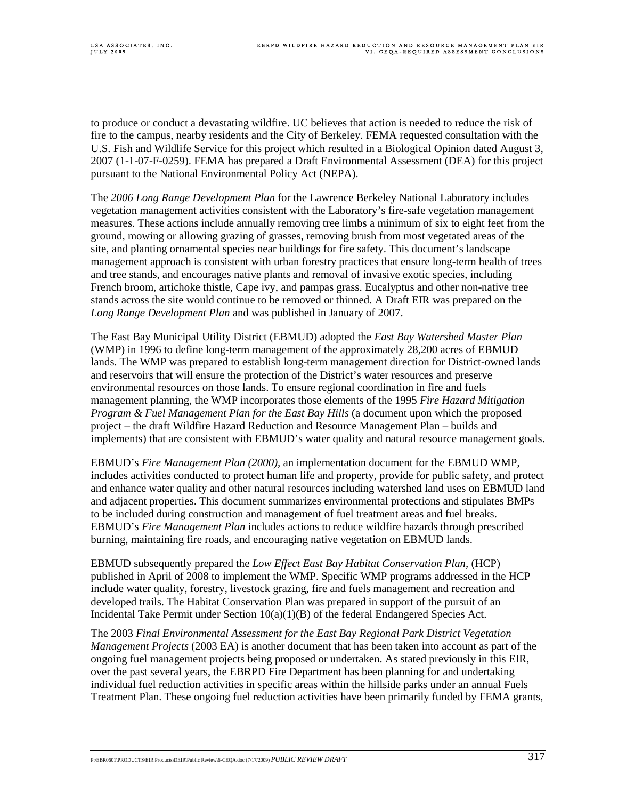to produce or conduct a devastating wildfire. UC believes that action is needed to reduce the risk of fire to the campus, nearby residents and the City of Berkeley. FEMA requested consultation with the U.S. Fish and Wildlife Service for this project which resulted in a Biological Opinion dated August 3, 2007 (1-1-07-F-0259). FEMA has prepared a Draft Environmental Assessment (DEA) for this project pursuant to the National Environmental Policy Act (NEPA).

The *2006 Long Range Development Plan* for the Lawrence Berkeley National Laboratory includes vegetation management activities consistent with the Laboratory's fire-safe vegetation management measures. These actions include annually removing tree limbs a minimum of six to eight feet from the ground, mowing or allowing grazing of grasses, removing brush from most vegetated areas of the site, and planting ornamental species near buildings for fire safety. This document's landscape management approach is consistent with urban forestry practices that ensure long-term health of trees and tree stands, and encourages native plants and removal of invasive exotic species, including French broom, artichoke thistle, Cape ivy, and pampas grass. Eucalyptus and other non-native tree stands across the site would continue to be removed or thinned. A Draft EIR was prepared on the *Long Range Development Plan* and was published in January of 2007.

The East Bay Municipal Utility District (EBMUD) adopted the *East Bay Watershed Master Plan*  (WMP) in 1996 to define long-term management of the approximately 28,200 acres of EBMUD lands. The WMP was prepared to establish long-term management direction for District-owned lands and reservoirs that will ensure the protection of the District's water resources and preserve environmental resources on those lands. To ensure regional coordination in fire and fuels management planning, the WMP incorporates those elements of the 1995 *Fire Hazard Mitigation Program & Fuel Management Plan for the East Bay Hills* (a document upon which the proposed project – the draft Wildfire Hazard Reduction and Resource Management Plan – builds and implements) that are consistent with EBMUD's water quality and natural resource management goals.

EBMUD's *Fire Management Plan (2000),* an implementation document for the EBMUD WMP, includes activities conducted to protect human life and property, provide for public safety, and protect and enhance water quality and other natural resources including watershed land uses on EBMUD land and adjacent properties. This document summarizes environmental protections and stipulates BMPs to be included during construction and management of fuel treatment areas and fuel breaks. EBMUD's *Fire Management Plan* includes actions to reduce wildfire hazards through prescribed burning, maintaining fire roads, and encouraging native vegetation on EBMUD lands.

EBMUD subsequently prepared the *Low Effect East Bay Habitat Conservation Plan,* (HCP) published in April of 2008 to implement the WMP. Specific WMP programs addressed in the HCP include water quality, forestry, livestock grazing, fire and fuels management and recreation and developed trails. The Habitat Conservation Plan was prepared in support of the pursuit of an Incidental Take Permit under Section  $10(a)(1)(B)$  of the federal Endangered Species Act.

The 2003 *Final Environmental Assessment for the East Bay Regional Park District Vegetation Management Projects* (2003 EA) is another document that has been taken into account as part of the ongoing fuel management projects being proposed or undertaken. As stated previously in this EIR, over the past several years, the EBRPD Fire Department has been planning for and undertaking individual fuel reduction activities in specific areas within the hillside parks under an annual Fuels Treatment Plan. These ongoing fuel reduction activities have been primarily funded by FEMA grants,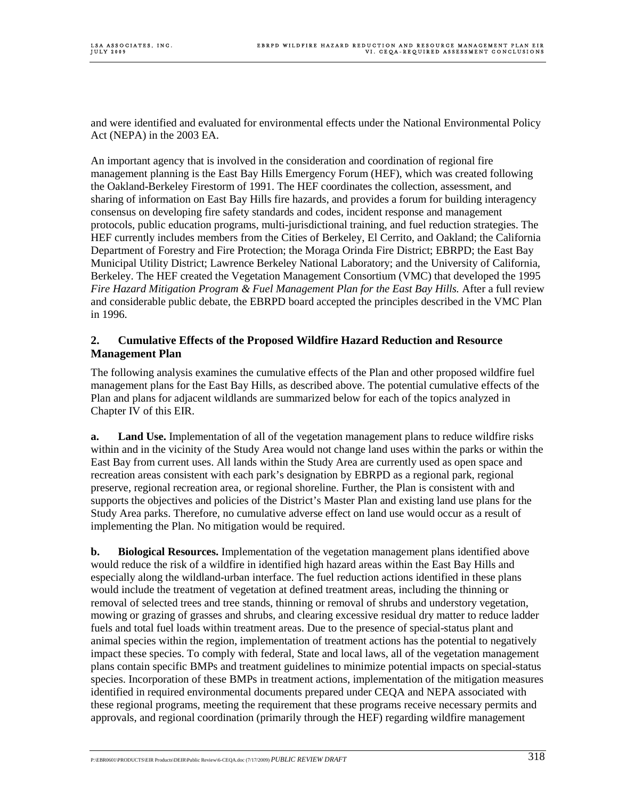and were identified and evaluated for environmental effects under the National Environmental Policy Act (NEPA) in the 2003 EA.

An important agency that is involved in the consideration and coordination of regional fire management planning is the East Bay Hills Emergency Forum (HEF), which was created following the Oakland-Berkeley Firestorm of 1991. The HEF coordinates the collection, assessment, and sharing of information on East Bay Hills fire hazards, and provides a forum for building interagency consensus on developing fire safety standards and codes, incident response and management protocols, public education programs, multi-jurisdictional training, and fuel reduction strategies. The HEF currently includes members from the Cities of Berkeley, El Cerrito, and Oakland; the California Department of Forestry and Fire Protection; the Moraga Orinda Fire District; EBRPD; the East Bay Municipal Utility District; Lawrence Berkeley National Laboratory; and the University of California, Berkeley. The HEF created the Vegetation Management Consortium (VMC) that developed the 1995 *Fire Hazard Mitigation Program & Fuel Management Plan for the East Bay Hills.* After a full review and considerable public debate, the EBRPD board accepted the principles described in the VMC Plan in 1996.

#### **2. Cumulative Effects of the Proposed Wildfire Hazard Reduction and Resource Management Plan**

The following analysis examines the cumulative effects of the Plan and other proposed wildfire fuel management plans for the East Bay Hills, as described above. The potential cumulative effects of the Plan and plans for adjacent wildlands are summarized below for each of the topics analyzed in Chapter IV of this EIR.

**a. Land Use.** Implementation of all of the vegetation management plans to reduce wildfire risks within and in the vicinity of the Study Area would not change land uses within the parks or within the East Bay from current uses. All lands within the Study Area are currently used as open space and recreation areas consistent with each park's designation by EBRPD as a regional park, regional preserve, regional recreation area, or regional shoreline. Further, the Plan is consistent with and supports the objectives and policies of the District's Master Plan and existing land use plans for the Study Area parks. Therefore, no cumulative adverse effect on land use would occur as a result of implementing the Plan. No mitigation would be required.

**b. Biological Resources.** Implementation of the vegetation management plans identified above would reduce the risk of a wildfire in identified high hazard areas within the East Bay Hills and especially along the wildland-urban interface. The fuel reduction actions identified in these plans would include the treatment of vegetation at defined treatment areas, including the thinning or removal of selected trees and tree stands, thinning or removal of shrubs and understory vegetation, mowing or grazing of grasses and shrubs, and clearing excessive residual dry matter to reduce ladder fuels and total fuel loads within treatment areas. Due to the presence of special-status plant and animal species within the region, implementation of treatment actions has the potential to negatively impact these species. To comply with federal, State and local laws, all of the vegetation management plans contain specific BMPs and treatment guidelines to minimize potential impacts on special-status species. Incorporation of these BMPs in treatment actions, implementation of the mitigation measures identified in required environmental documents prepared under CEQA and NEPA associated with these regional programs, meeting the requirement that these programs receive necessary permits and approvals, and regional coordination (primarily through the HEF) regarding wildfire management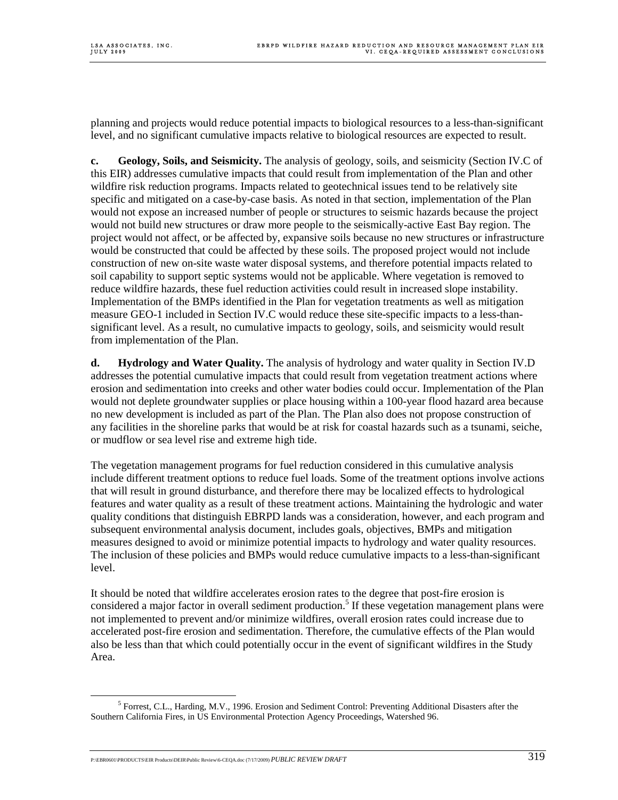planning and projects would reduce potential impacts to biological resources to a less-than-significant level, and no significant cumulative impacts relative to biological resources are expected to result.

**c. Geology, Soils, and Seismicity.** The analysis of geology, soils, and seismicity (Section IV.C of this EIR) addresses cumulative impacts that could result from implementation of the Plan and other wildfire risk reduction programs. Impacts related to geotechnical issues tend to be relatively site specific and mitigated on a case-by-case basis. As noted in that section, implementation of the Plan would not expose an increased number of people or structures to seismic hazards because the project would not build new structures or draw more people to the seismically-active East Bay region. The project would not affect, or be affected by, expansive soils because no new structures or infrastructure would be constructed that could be affected by these soils. The proposed project would not include construction of new on-site waste water disposal systems, and therefore potential impacts related to soil capability to support septic systems would not be applicable. Where vegetation is removed to reduce wildfire hazards, these fuel reduction activities could result in increased slope instability. Implementation of the BMPs identified in the Plan for vegetation treatments as well as mitigation measure GEO-1 included in Section IV.C would reduce these site-specific impacts to a less-thansignificant level. As a result, no cumulative impacts to geology, soils, and seismicity would result from implementation of the Plan.

**d. Hydrology and Water Quality.** The analysis of hydrology and water quality in Section IV.D addresses the potential cumulative impacts that could result from vegetation treatment actions where erosion and sedimentation into creeks and other water bodies could occur. Implementation of the Plan would not deplete groundwater supplies or place housing within a 100-year flood hazard area because no new development is included as part of the Plan. The Plan also does not propose construction of any facilities in the shoreline parks that would be at risk for coastal hazards such as a tsunami, seiche, or mudflow or sea level rise and extreme high tide.

The vegetation management programs for fuel reduction considered in this cumulative analysis include different treatment options to reduce fuel loads. Some of the treatment options involve actions that will result in ground disturbance, and therefore there may be localized effects to hydrological features and water quality as a result of these treatment actions. Maintaining the hydrologic and water quality conditions that distinguish EBRPD lands was a consideration, however, and each program and subsequent environmental analysis document, includes goals, objectives, BMPs and mitigation measures designed to avoid or minimize potential impacts to hydrology and water quality resources. The inclusion of these policies and BMPs would reduce cumulative impacts to a less-than-significant level.

It should be noted that wildfire accelerates erosion rates to the degree that post-fire erosion is considered a major factor in overall sediment production.<sup>5</sup> If these vegetation management plans were not implemented to prevent and/or minimize wildfires, overall erosion rates could increase due to accelerated post-fire erosion and sedimentation. Therefore, the cumulative effects of the Plan would also be less than that which could potentially occur in the event of significant wildfires in the Study Area.

 $rac{1}{5}$  Forrest, C.L., Harding, M.V., 1996. Erosion and Sediment Control: Preventing Additional Disasters after the Southern California Fires, in US Environmental Protection Agency Proceedings, Watershed 96.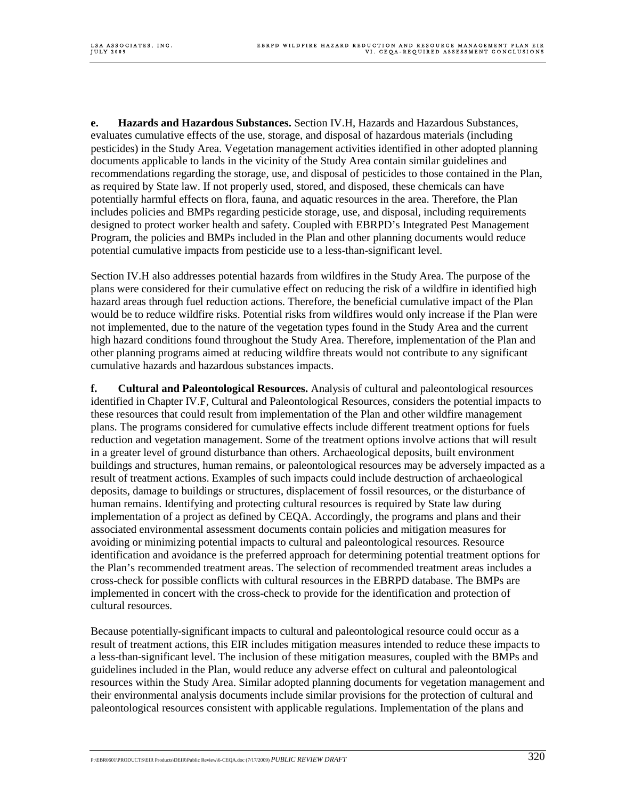**e. Hazards and Hazardous Substances.** Section IV.H, Hazards and Hazardous Substances, evaluates cumulative effects of the use, storage, and disposal of hazardous materials (including pesticides) in the Study Area. Vegetation management activities identified in other adopted planning documents applicable to lands in the vicinity of the Study Area contain similar guidelines and recommendations regarding the storage, use, and disposal of pesticides to those contained in the Plan, as required by State law. If not properly used, stored, and disposed, these chemicals can have potentially harmful effects on flora, fauna, and aquatic resources in the area. Therefore, the Plan includes policies and BMPs regarding pesticide storage, use, and disposal, including requirements designed to protect worker health and safety. Coupled with EBRPD's Integrated Pest Management Program, the policies and BMPs included in the Plan and other planning documents would reduce potential cumulative impacts from pesticide use to a less-than-significant level.

Section IV.H also addresses potential hazards from wildfires in the Study Area. The purpose of the plans were considered for their cumulative effect on reducing the risk of a wildfire in identified high hazard areas through fuel reduction actions. Therefore, the beneficial cumulative impact of the Plan would be to reduce wildfire risks. Potential risks from wildfires would only increase if the Plan were not implemented, due to the nature of the vegetation types found in the Study Area and the current high hazard conditions found throughout the Study Area. Therefore, implementation of the Plan and other planning programs aimed at reducing wildfire threats would not contribute to any significant cumulative hazards and hazardous substances impacts.

**f. Cultural and Paleontological Resources.** Analysis of cultural and paleontological resources identified in Chapter IV.F, Cultural and Paleontological Resources, considers the potential impacts to these resources that could result from implementation of the Plan and other wildfire management plans. The programs considered for cumulative effects include different treatment options for fuels reduction and vegetation management. Some of the treatment options involve actions that will result in a greater level of ground disturbance than others. Archaeological deposits, built environment buildings and structures, human remains, or paleontological resources may be adversely impacted as a result of treatment actions. Examples of such impacts could include destruction of archaeological deposits, damage to buildings or structures, displacement of fossil resources, or the disturbance of human remains. Identifying and protecting cultural resources is required by State law during implementation of a project as defined by CEQA. Accordingly, the programs and plans and their associated environmental assessment documents contain policies and mitigation measures for avoiding or minimizing potential impacts to cultural and paleontological resources. Resource identification and avoidance is the preferred approach for determining potential treatment options for the Plan's recommended treatment areas. The selection of recommended treatment areas includes a cross-check for possible conflicts with cultural resources in the EBRPD database. The BMPs are implemented in concert with the cross-check to provide for the identification and protection of cultural resources.

Because potentially-significant impacts to cultural and paleontological resource could occur as a result of treatment actions, this EIR includes mitigation measures intended to reduce these impacts to a less-than-significant level. The inclusion of these mitigation measures, coupled with the BMPs and guidelines included in the Plan, would reduce any adverse effect on cultural and paleontological resources within the Study Area. Similar adopted planning documents for vegetation management and their environmental analysis documents include similar provisions for the protection of cultural and paleontological resources consistent with applicable regulations. Implementation of the plans and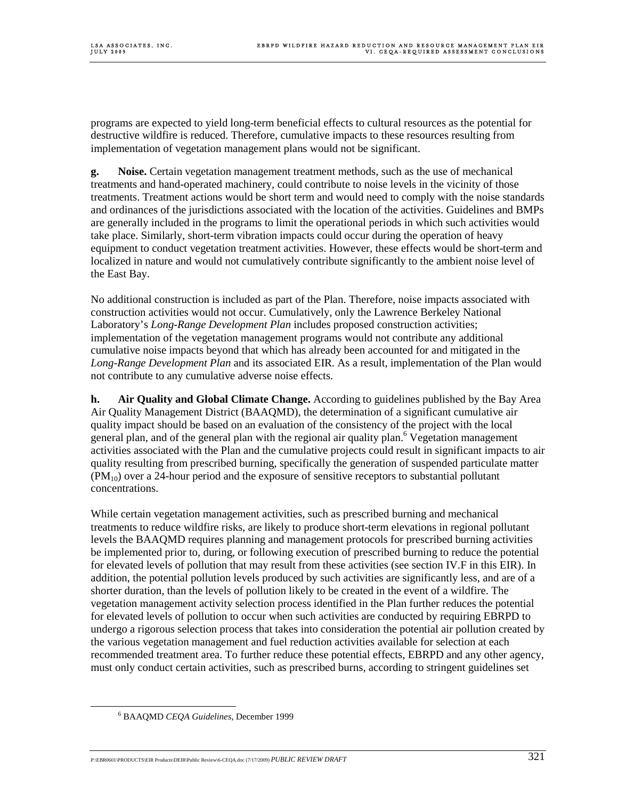programs are expected to yield long-term beneficial effects to cultural resources as the potential for destructive wildfire is reduced. Therefore, cumulative impacts to these resources resulting from implementation of vegetation management plans would not be significant.

**g. Noise.** Certain vegetation management treatment methods, such as the use of mechanical treatments and hand-operated machinery, could contribute to noise levels in the vicinity of those treatments. Treatment actions would be short term and would need to comply with the noise standards and ordinances of the jurisdictions associated with the location of the activities. Guidelines and BMPs are generally included in the programs to limit the operational periods in which such activities would take place. Similarly, short-term vibration impacts could occur during the operation of heavy equipment to conduct vegetation treatment activities. However, these effects would be short-term and localized in nature and would not cumulatively contribute significantly to the ambient noise level of the East Bay.

No additional construction is included as part of the Plan. Therefore, noise impacts associated with construction activities would not occur. Cumulatively, only the Lawrence Berkeley National Laboratory's *Long-Range Development Plan* includes proposed construction activities; implementation of the vegetation management programs would not contribute any additional cumulative noise impacts beyond that which has already been accounted for and mitigated in the *Long-Range Development Plan* and its associated EIR. As a result, implementation of the Plan would not contribute to any cumulative adverse noise effects.

**h. Air Quality and Global Climate Change.** According to guidelines published by the Bay Area Air Quality Management District (BAAQMD), the determination of a significant cumulative air quality impact should be based on an evaluation of the consistency of the project with the local general plan, and of the general plan with the regional air quality plan.<sup>6</sup> Vegetation management activities associated with the Plan and the cumulative projects could result in significant impacts to air quality resulting from prescribed burning, specifically the generation of suspended particulate matter  $(PM_{10})$  over a 24-hour period and the exposure of sensitive receptors to substantial pollutant concentrations.

While certain vegetation management activities, such as prescribed burning and mechanical treatments to reduce wildfire risks, are likely to produce short-term elevations in regional pollutant levels the BAAQMD requires planning and management protocols for prescribed burning activities be implemented prior to, during, or following execution of prescribed burning to reduce the potential for elevated levels of pollution that may result from these activities (see section IV.F in this EIR). In addition, the potential pollution levels produced by such activities are significantly less, and are of a shorter duration, than the levels of pollution likely to be created in the event of a wildfire. The vegetation management activity selection process identified in the Plan further reduces the potential for elevated levels of pollution to occur when such activities are conducted by requiring EBRPD to undergo a rigorous selection process that takes into consideration the potential air pollution created by the various vegetation management and fuel reduction activities available for selection at each recommended treatment area. To further reduce these potential effects, EBRPD and any other agency, must only conduct certain activities, such as prescribed burns, according to stringent guidelines set

 $\overline{6}$ BAAQMD *CEQA Guidelines*, December 1999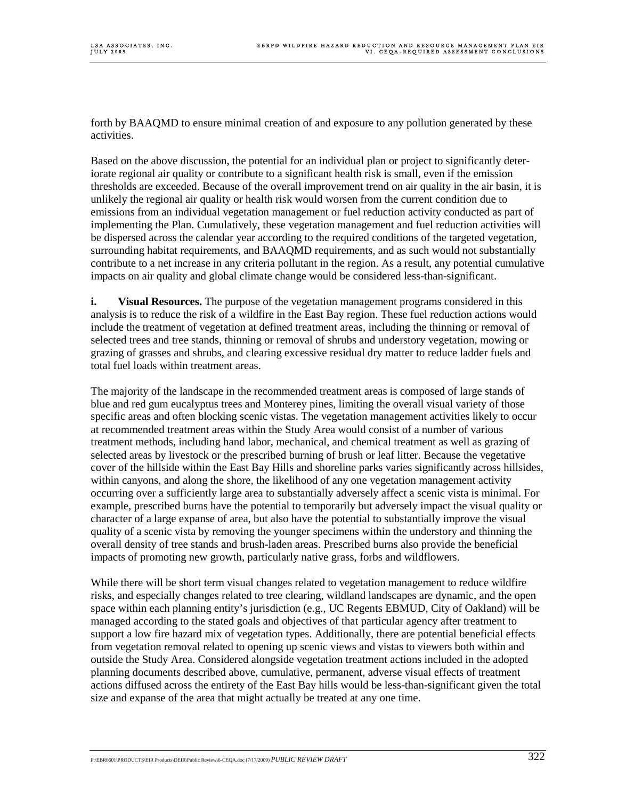forth by BAAQMD to ensure minimal creation of and exposure to any pollution generated by these activities.

Based on the above discussion, the potential for an individual plan or project to significantly deteriorate regional air quality or contribute to a significant health risk is small, even if the emission thresholds are exceeded. Because of the overall improvement trend on air quality in the air basin, it is unlikely the regional air quality or health risk would worsen from the current condition due to emissions from an individual vegetation management or fuel reduction activity conducted as part of implementing the Plan. Cumulatively, these vegetation management and fuel reduction activities will be dispersed across the calendar year according to the required conditions of the targeted vegetation, surrounding habitat requirements, and BAAQMD requirements, and as such would not substantially contribute to a net increase in any criteria pollutant in the region. As a result, any potential cumulative impacts on air quality and global climate change would be considered less-than-significant.

**i. Visual Resources.** The purpose of the vegetation management programs considered in this analysis is to reduce the risk of a wildfire in the East Bay region. These fuel reduction actions would include the treatment of vegetation at defined treatment areas, including the thinning or removal of selected trees and tree stands, thinning or removal of shrubs and understory vegetation, mowing or grazing of grasses and shrubs, and clearing excessive residual dry matter to reduce ladder fuels and total fuel loads within treatment areas.

The majority of the landscape in the recommended treatment areas is composed of large stands of blue and red gum eucalyptus trees and Monterey pines, limiting the overall visual variety of those specific areas and often blocking scenic vistas. The vegetation management activities likely to occur at recommended treatment areas within the Study Area would consist of a number of various treatment methods, including hand labor, mechanical, and chemical treatment as well as grazing of selected areas by livestock or the prescribed burning of brush or leaf litter. Because the vegetative cover of the hillside within the East Bay Hills and shoreline parks varies significantly across hillsides, within canyons, and along the shore, the likelihood of any one vegetation management activity occurring over a sufficiently large area to substantially adversely affect a scenic vista is minimal. For example, prescribed burns have the potential to temporarily but adversely impact the visual quality or character of a large expanse of area, but also have the potential to substantially improve the visual quality of a scenic vista by removing the younger specimens within the understory and thinning the overall density of tree stands and brush-laden areas. Prescribed burns also provide the beneficial impacts of promoting new growth, particularly native grass, forbs and wildflowers.

While there will be short term visual changes related to vegetation management to reduce wildfire risks, and especially changes related to tree clearing, wildland landscapes are dynamic, and the open space within each planning entity's jurisdiction (e.g., UC Regents EBMUD, City of Oakland) will be managed according to the stated goals and objectives of that particular agency after treatment to support a low fire hazard mix of vegetation types. Additionally, there are potential beneficial effects from vegetation removal related to opening up scenic views and vistas to viewers both within and outside the Study Area. Considered alongside vegetation treatment actions included in the adopted planning documents described above, cumulative, permanent, adverse visual effects of treatment actions diffused across the entirety of the East Bay hills would be less-than-significant given the total size and expanse of the area that might actually be treated at any one time.